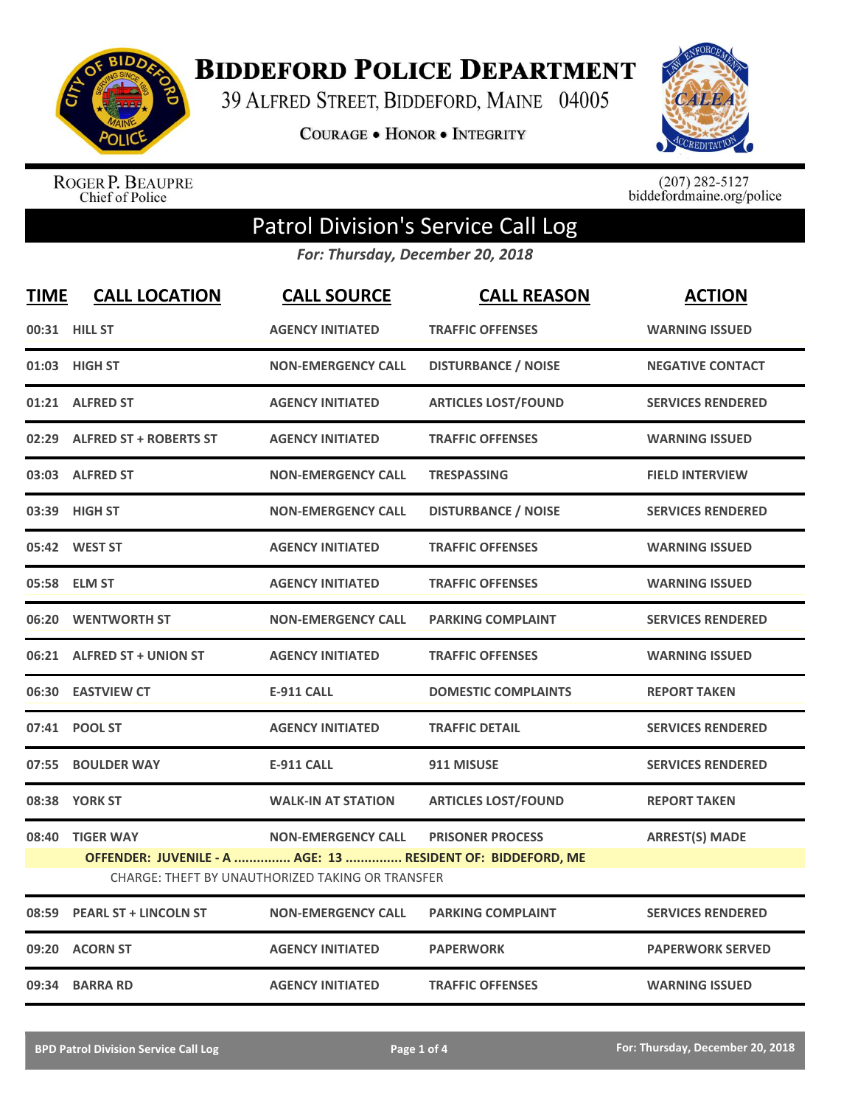

**BIDDEFORD POLICE DEPARTMENT** 

39 ALFRED STREET, BIDDEFORD, MAINE 04005

**COURAGE . HONOR . INTEGRITY** 



ROGER P. BEAUPRE<br>Chief of Police

 $(207)$  282-5127<br>biddefordmaine.org/police

## Patrol Division's Service Call Log

*For: Thursday, December 20, 2018*

| <b>TIME</b> | <b>CALL LOCATION</b>                                                                                                                                                                                                | <b>CALL SOURCE</b>        | <b>CALL REASON</b>         | <b>ACTION</b>            |  |
|-------------|---------------------------------------------------------------------------------------------------------------------------------------------------------------------------------------------------------------------|---------------------------|----------------------------|--------------------------|--|
|             | 00:31 HILL ST                                                                                                                                                                                                       | <b>AGENCY INITIATED</b>   | <b>TRAFFIC OFFENSES</b>    | <b>WARNING ISSUED</b>    |  |
|             | 01:03 HIGH ST                                                                                                                                                                                                       | <b>NON-EMERGENCY CALL</b> | <b>DISTURBANCE / NOISE</b> | <b>NEGATIVE CONTACT</b>  |  |
|             | 01:21 ALFRED ST                                                                                                                                                                                                     | <b>AGENCY INITIATED</b>   | <b>ARTICLES LOST/FOUND</b> | <b>SERVICES RENDERED</b> |  |
|             | 02:29 ALFRED ST + ROBERTS ST                                                                                                                                                                                        | <b>AGENCY INITIATED</b>   | <b>TRAFFIC OFFENSES</b>    | <b>WARNING ISSUED</b>    |  |
|             | 03:03 ALFRED ST                                                                                                                                                                                                     | <b>NON-EMERGENCY CALL</b> | <b>TRESPASSING</b>         | <b>FIELD INTERVIEW</b>   |  |
|             | 03:39 HIGH ST                                                                                                                                                                                                       | <b>NON-EMERGENCY CALL</b> | <b>DISTURBANCE / NOISE</b> | <b>SERVICES RENDERED</b> |  |
|             | 05:42 WEST ST                                                                                                                                                                                                       | <b>AGENCY INITIATED</b>   | <b>TRAFFIC OFFENSES</b>    | <b>WARNING ISSUED</b>    |  |
|             | 05:58 ELM ST                                                                                                                                                                                                        | <b>AGENCY INITIATED</b>   | <b>TRAFFIC OFFENSES</b>    | <b>WARNING ISSUED</b>    |  |
|             | 06:20 WENTWORTH ST                                                                                                                                                                                                  | <b>NON-EMERGENCY CALL</b> | <b>PARKING COMPLAINT</b>   | <b>SERVICES RENDERED</b> |  |
|             | 06:21 ALFRED ST + UNION ST                                                                                                                                                                                          | <b>AGENCY INITIATED</b>   | <b>TRAFFIC OFFENSES</b>    | <b>WARNING ISSUED</b>    |  |
|             | 06:30 EASTVIEW CT                                                                                                                                                                                                   | <b>E-911 CALL</b>         | <b>DOMESTIC COMPLAINTS</b> | <b>REPORT TAKEN</b>      |  |
|             | 07:41 POOL ST                                                                                                                                                                                                       | <b>AGENCY INITIATED</b>   | <b>TRAFFIC DETAIL</b>      | <b>SERVICES RENDERED</b> |  |
|             | 07:55 BOULDER WAY                                                                                                                                                                                                   | <b>E-911 CALL</b>         | 911 MISUSE                 | <b>SERVICES RENDERED</b> |  |
|             | 08:38 YORK ST                                                                                                                                                                                                       | <b>WALK-IN AT STATION</b> | <b>ARTICLES LOST/FOUND</b> | <b>REPORT TAKEN</b>      |  |
|             | 08:40 TIGER WAY<br><b>NON-EMERGENCY CALL</b><br><b>PRISONER PROCESS</b><br><b>ARREST(S) MADE</b><br>OFFENDER: JUVENILE - A  AGE: 13  RESIDENT OF: BIDDEFORD, ME<br>CHARGE: THEFT BY UNAUTHORIZED TAKING OR TRANSFER |                           |                            |                          |  |
|             | 08:59 PEARL ST + LINCOLN ST                                                                                                                                                                                         | <b>NON-EMERGENCY CALL</b> | <b>PARKING COMPLAINT</b>   | <b>SERVICES RENDERED</b> |  |
|             | 09:20 ACORN ST                                                                                                                                                                                                      | <b>AGENCY INITIATED</b>   | <b>PAPERWORK</b>           | <b>PAPERWORK SERVED</b>  |  |
|             | 09:34 BARRA RD                                                                                                                                                                                                      | <b>AGENCY INITIATED</b>   | <b>TRAFFIC OFFENSES</b>    | <b>WARNING ISSUED</b>    |  |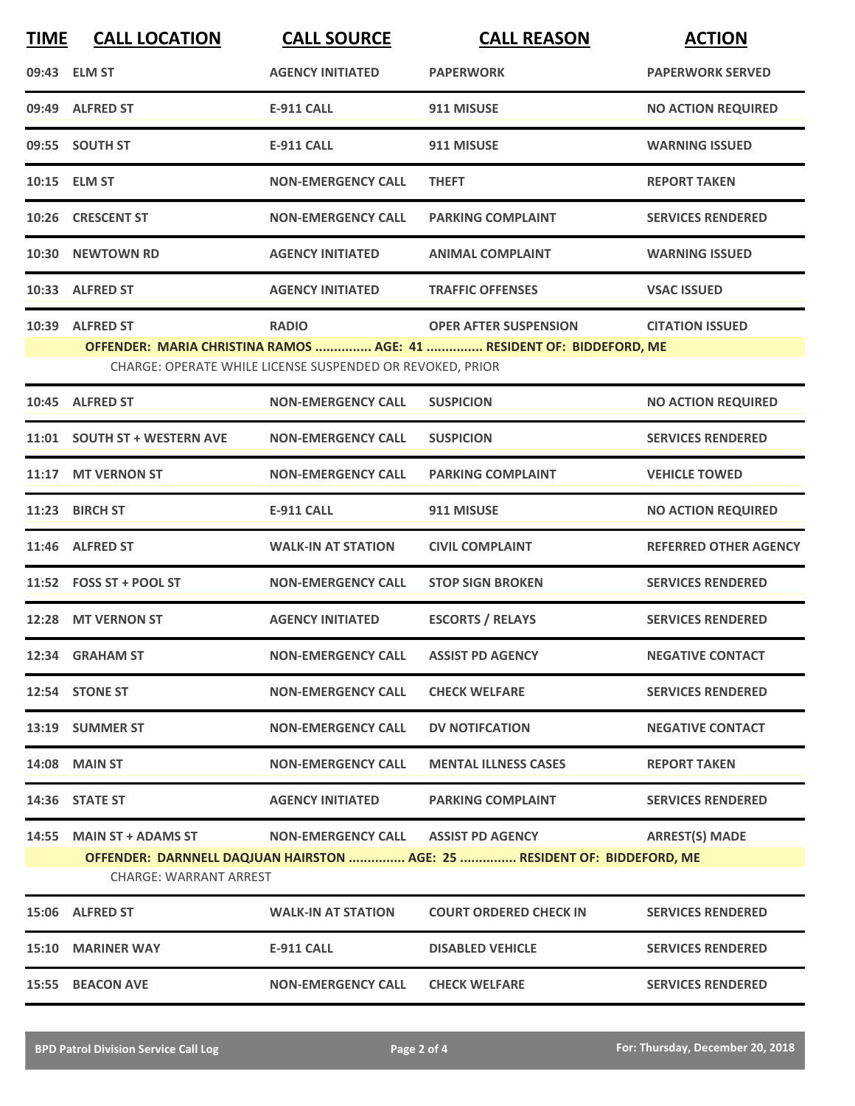| <b>TIME</b> | <b>CALL LOCATION</b>                                      | <b>CALL SOURCE</b>                                                        | <b>CALL REASON</b>                                                                                   | <b>ACTION</b>                |
|-------------|-----------------------------------------------------------|---------------------------------------------------------------------------|------------------------------------------------------------------------------------------------------|------------------------------|
|             | 09:43 ELM ST                                              | <b>AGENCY INITIATED</b>                                                   | <b>PAPERWORK</b>                                                                                     | <b>PAPERWORK SERVED</b>      |
|             | 09:49 ALFRED ST                                           | <b>E-911 CALL</b>                                                         | 911 MISUSE                                                                                           | <b>NO ACTION REQUIRED</b>    |
|             | 09:55 SOUTH ST                                            | <b>E-911 CALL</b>                                                         | 911 MISUSE                                                                                           | <b>WARNING ISSUED</b>        |
|             | 10:15 ELM ST                                              | <b>NON-EMERGENCY CALL</b>                                                 | <b>THEFT</b>                                                                                         | <b>REPORT TAKEN</b>          |
|             | 10:26 CRESCENT ST                                         | <b>NON-EMERGENCY CALL</b>                                                 | <b>PARKING COMPLAINT</b>                                                                             | <b>SERVICES RENDERED</b>     |
|             | 10:30 NEWTOWN RD                                          | <b>AGENCY INITIATED</b>                                                   | <b>ANIMAL COMPLAINT</b>                                                                              | <b>WARNING ISSUED</b>        |
|             | 10:33 ALFRED ST                                           | <b>AGENCY INITIATED</b>                                                   | <b>TRAFFIC OFFENSES</b>                                                                              | <b>VSAC ISSUED</b>           |
|             | 10:39 ALFRED ST                                           | <b>RADIO</b><br>CHARGE: OPERATE WHILE LICENSE SUSPENDED OR REVOKED, PRIOR | <b>OPER AFTER SUSPENSION</b><br>OFFENDER: MARIA CHRISTINA RAMOS  AGE: 41  RESIDENT OF: BIDDEFORD, ME | <b>CITATION ISSUED</b>       |
|             | 10:45 ALFRED ST                                           | <b>NON-EMERGENCY CALL</b>                                                 | <b>SUSPICION</b>                                                                                     | <b>NO ACTION REQUIRED</b>    |
|             | 11:01 SOUTH ST + WESTERN AVE                              | <b>NON-EMERGENCY CALL</b>                                                 | <b>SUSPICION</b>                                                                                     | <b>SERVICES RENDERED</b>     |
|             | 11:17 MT VERNON ST                                        | <b>NON-EMERGENCY CALL</b>                                                 | <b>PARKING COMPLAINT</b>                                                                             | <b>VEHICLE TOWED</b>         |
|             | 11:23 BIRCH ST                                            | <b>E-911 CALL</b>                                                         | 911 MISUSE                                                                                           | <b>NO ACTION REQUIRED</b>    |
|             | 11:46 ALFRED ST                                           | <b>WALK-IN AT STATION</b>                                                 | <b>CIVIL COMPLAINT</b>                                                                               | <b>REFERRED OTHER AGENCY</b> |
|             | 11:52 FOSS ST + POOL ST                                   | <b>NON-EMERGENCY CALL</b>                                                 | <b>STOP SIGN BROKEN</b>                                                                              | <b>SERVICES RENDERED</b>     |
|             | 12:28 MT VERNON ST                                        | <b>AGENCY INITIATED</b>                                                   | <b>ESCORTS / RELAYS</b>                                                                              | <b>SERVICES RENDERED</b>     |
|             | 12:34 GRAHAM ST                                           | <b>NON-EMERGENCY CALL</b>                                                 | <b>ASSIST PD AGENCY</b>                                                                              | <b>NEGATIVE CONTACT</b>      |
|             | 12:54 STONE ST                                            | <b>NON-EMERGENCY CALL</b>                                                 | <b>CHECK WELFARE</b>                                                                                 | <b>SERVICES RENDERED</b>     |
|             | 13:19 SUMMER ST                                           | <b>NON-EMERGENCY CALL</b>                                                 | <b>DV NOTIFCATION</b>                                                                                | <b>NEGATIVE CONTACT</b>      |
|             | <b>14:08 MAIN ST</b>                                      | <b>NON-EMERGENCY CALL</b>                                                 | <b>MENTAL ILLNESS CASES</b>                                                                          | <b>REPORT TAKEN</b>          |
|             | 14:36 STATE ST                                            | <b>AGENCY INITIATED</b>                                                   | <b>PARKING COMPLAINT</b>                                                                             | <b>SERVICES RENDERED</b>     |
|             | 14:55 MAIN ST + ADAMS ST<br><b>CHARGE: WARRANT ARREST</b> | <b>NON-EMERGENCY CALL</b>                                                 | <b>ASSIST PD AGENCY</b><br>OFFENDER: DARNNELL DAQJUAN HAIRSTON  AGE: 25  RESIDENT OF: BIDDEFORD, ME  | <b>ARREST(S) MADE</b>        |
|             | 15:06 ALFRED ST                                           | <b>WALK-IN AT STATION</b>                                                 | <b>COURT ORDERED CHECK IN</b>                                                                        | <b>SERVICES RENDERED</b>     |
|             | 15:10 MARINER WAY                                         | <b>E-911 CALL</b>                                                         | <b>DISABLED VEHICLE</b>                                                                              | <b>SERVICES RENDERED</b>     |
|             | 15:55 BEACON AVE                                          | <b>NON-EMERGENCY CALL</b>                                                 | <b>CHECK WELFARE</b>                                                                                 | <b>SERVICES RENDERED</b>     |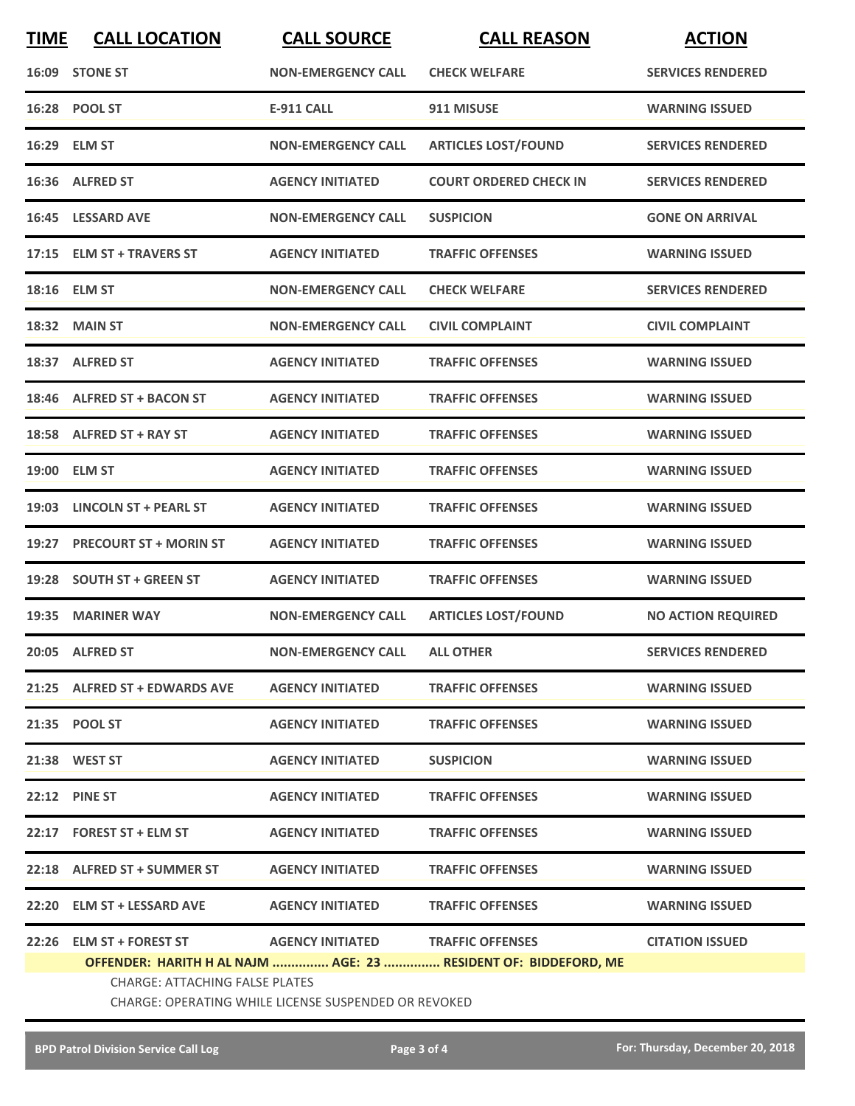| <b>TIME</b>                                                     | <b>CALL LOCATION</b>                                                                   | <b>CALL SOURCE</b>                | <b>CALL REASON</b>            | <b>ACTION</b>             |  |
|-----------------------------------------------------------------|----------------------------------------------------------------------------------------|-----------------------------------|-------------------------------|---------------------------|--|
|                                                                 | 16:09 STONE ST                                                                         | <b>NON-EMERGENCY CALL</b>         | <b>CHECK WELFARE</b>          | <b>SERVICES RENDERED</b>  |  |
|                                                                 | 16:28 POOL ST                                                                          | <b>E-911 CALL</b>                 | 911 MISUSE                    | <b>WARNING ISSUED</b>     |  |
|                                                                 | 16:29 ELM ST                                                                           | <b>NON-EMERGENCY CALL</b>         | <b>ARTICLES LOST/FOUND</b>    | <b>SERVICES RENDERED</b>  |  |
|                                                                 | 16:36 ALFRED ST                                                                        | <b>AGENCY INITIATED</b>           | <b>COURT ORDERED CHECK IN</b> | <b>SERVICES RENDERED</b>  |  |
|                                                                 | 16:45 LESSARD AVE                                                                      | <b>NON-EMERGENCY CALL</b>         | <b>SUSPICION</b>              | <b>GONE ON ARRIVAL</b>    |  |
|                                                                 | 17:15 ELM ST + TRAVERS ST                                                              | <b>AGENCY INITIATED</b>           | <b>TRAFFIC OFFENSES</b>       | <b>WARNING ISSUED</b>     |  |
|                                                                 | 18:16 ELM ST                                                                           | <b>NON-EMERGENCY CALL</b>         | <b>CHECK WELFARE</b>          | <b>SERVICES RENDERED</b>  |  |
|                                                                 | 18:32 MAIN ST                                                                          | <b>NON-EMERGENCY CALL</b>         | <b>CIVIL COMPLAINT</b>        | <b>CIVIL COMPLAINT</b>    |  |
|                                                                 | 18:37 ALFRED ST                                                                        | <b>AGENCY INITIATED</b>           | <b>TRAFFIC OFFENSES</b>       | <b>WARNING ISSUED</b>     |  |
|                                                                 | 18:46 ALFRED ST + BACON ST                                                             | <b>AGENCY INITIATED</b>           | <b>TRAFFIC OFFENSES</b>       | <b>WARNING ISSUED</b>     |  |
|                                                                 | 18:58 ALFRED ST + RAY ST                                                               | <b>AGENCY INITIATED</b>           | <b>TRAFFIC OFFENSES</b>       | <b>WARNING ISSUED</b>     |  |
|                                                                 | 19:00 ELM ST                                                                           | <b>AGENCY INITIATED</b>           | <b>TRAFFIC OFFENSES</b>       | <b>WARNING ISSUED</b>     |  |
|                                                                 | 19:03 LINCOLN ST + PEARL ST                                                            | <b>AGENCY INITIATED</b>           | <b>TRAFFIC OFFENSES</b>       | <b>WARNING ISSUED</b>     |  |
|                                                                 | 19:27 PRECOURT ST + MORIN ST                                                           | <b>AGENCY INITIATED</b>           | <b>TRAFFIC OFFENSES</b>       | <b>WARNING ISSUED</b>     |  |
|                                                                 | 19:28 SOUTH ST + GREEN ST                                                              | <b>AGENCY INITIATED</b>           | <b>TRAFFIC OFFENSES</b>       | <b>WARNING ISSUED</b>     |  |
|                                                                 | 19:35 MARINER WAY                                                                      | <b>NON-EMERGENCY CALL</b>         | <b>ARTICLES LOST/FOUND</b>    | <b>NO ACTION REQUIRED</b> |  |
|                                                                 | 20:05 ALFRED ST                                                                        | NON-EMERGENCY CALL ALL OTHER      |                               | <b>SERVICES RENDERED</b>  |  |
|                                                                 | 21:25 ALFRED ST + EDWARDS AVE                                                          | <b>AGENCY INITIATED</b>           | <b>TRAFFIC OFFENSES</b>       | <b>WARNING ISSUED</b>     |  |
|                                                                 | 21:35 POOL ST                                                                          | <b>AGENCY INITIATED</b>           | <b>TRAFFIC OFFENSES</b>       | <b>WARNING ISSUED</b>     |  |
|                                                                 | 21:38 WEST ST                                                                          | <b>AGENCY INITIATED</b>           | <b>SUSPICION</b>              | <b>WARNING ISSUED</b>     |  |
|                                                                 | 22:12 PINE ST                                                                          | <b>AGENCY INITIATED</b>           | <b>TRAFFIC OFFENSES</b>       | <b>WARNING ISSUED</b>     |  |
|                                                                 | 22:17 FOREST ST + ELM ST                                                               | <b>AGENCY INITIATED</b>           | <b>TRAFFIC OFFENSES</b>       | <b>WARNING ISSUED</b>     |  |
|                                                                 | 22:18 ALFRED ST + SUMMER ST                                                            | <b>AGENCY INITIATED</b>           | <b>TRAFFIC OFFENSES</b>       | <b>WARNING ISSUED</b>     |  |
|                                                                 | 22:20 ELM ST + LESSARD AVE                                                             | <b>AGENCY INITIATED</b>           | <b>TRAFFIC OFFENSES</b>       | <b>WARNING ISSUED</b>     |  |
|                                                                 | 22:26 ELM ST + FOREST ST                                                               | AGENCY INITIATED TRAFFIC OFFENSES |                               | <b>CITATION ISSUED</b>    |  |
| OFFENDER: HARITH H AL NAJM  AGE: 23  RESIDENT OF: BIDDEFORD, ME |                                                                                        |                                   |                               |                           |  |
|                                                                 | CHARGE: ATTACHING FALSE PLATES<br>CHARGE: OPERATING WHILE LICENSE SUSPENDED OR REVOKED |                                   |                               |                           |  |